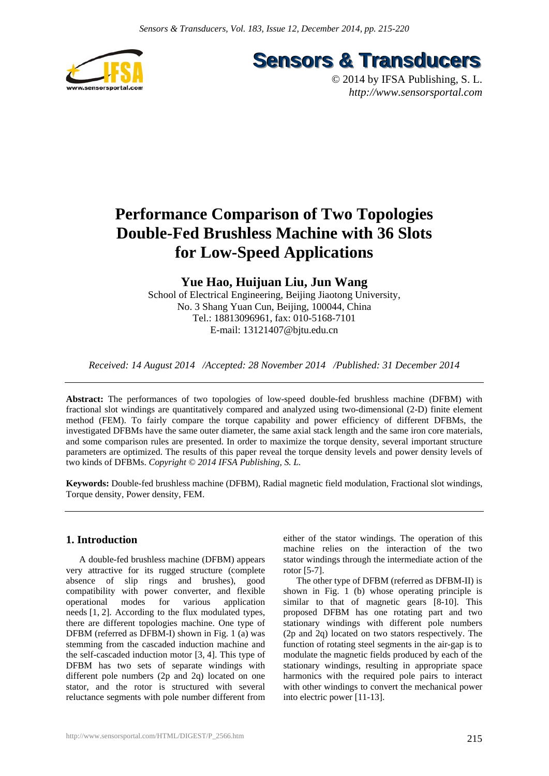

**Sensors & Transducers** 

© 2014 by IFSA Publishing, S. L. *http://www.sensorsportal.com*

# **Performance Comparison of Two Topologies Double-Fed Brushless Machine with 36 Slots for Low-Speed Applications**

# **Yue Hao, Huijuan Liu, Jun Wang**

School of Electrical Engineering, Beijing Jiaotong University, No. 3 Shang Yuan Cun, Beijing, 100044, China Tel.: 18813096961, fax: 010-5168-7101 E-mail: 13121407@bjtu.edu.cn

*Received: 14 August 2014 /Accepted: 28 November 2014 /Published: 31 December 2014* 

**Abstract:** The performances of two topologies of low-speed double-fed brushless machine (DFBM) with fractional slot windings are quantitatively compared and analyzed using two-dimensional (2-D) finite element method (FEM). To fairly compare the torque capability and power efficiency of different DFBMs, the investigated DFBMs have the same outer diameter, the same axial stack length and the same iron core materials, and some comparison rules are presented. In order to maximize the torque density, several important structure parameters are optimized. The results of this paper reveal the torque density levels and power density levels of two kinds of DFBMs. *Copyright © 2014 IFSA Publishing, S. L.*

**Keywords:** Double-fed brushless machine (DFBM), Radial magnetic field modulation, Fractional slot windings, Torque density, Power density, FEM.

## **1. Introduction**

A double-fed brushless machine (DFBM) appears very attractive for its rugged structure (complete absence of slip rings and brushes), good compatibility with power converter, and flexible operational modes for various application needs [1, 2]. According to the flux modulated types, there are different topologies machine. One type of DFBM (referred as DFBM-I) shown in Fig. 1 (a) was stemming from the cascaded induction machine and the self-cascaded induction motor [3, 4]. This type of DFBM has two sets of separate windings with different pole numbers (2p and 2q) located on one stator, and the rotor is structured with several reluctance segments with pole number different from

either of the stator windings. The operation of this machine relies on the interaction of the two stator windings through the intermediate action of the rotor [5-7].

The other type of DFBM (referred as DFBM-II) is shown in Fig. 1 (b) whose operating principle is similar to that of magnetic gears [8-10]. This proposed DFBM has one rotating part and two stationary windings with different pole numbers (2p and 2q) located on two stators respectively. The function of rotating steel segments in the air-gap is to modulate the magnetic fields produced by each of the stationary windings, resulting in appropriate space harmonics with the required pole pairs to interact with other windings to convert the mechanical power into electric power [11-13].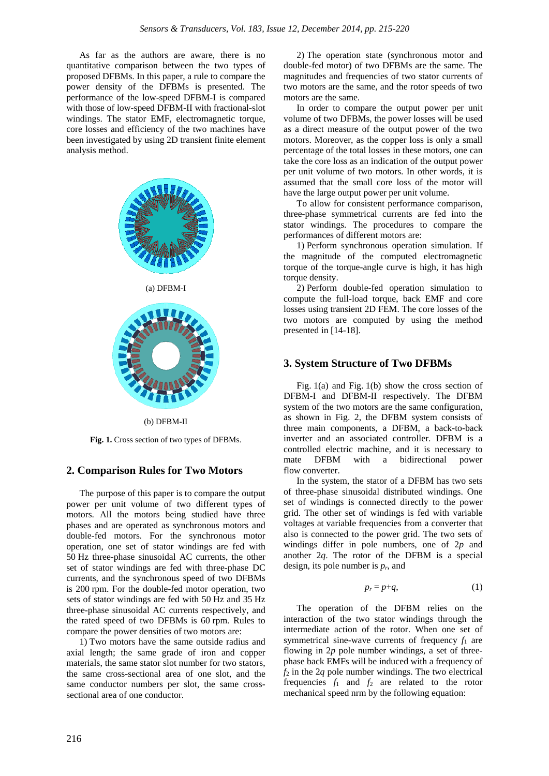As far as the authors are aware, there is no quantitative comparison between the two types of proposed DFBMs. In this paper, a rule to compare the power density of the DFBMs is presented. The performance of the low-speed DFBM-I is compared with those of low-speed DFBM-II with fractional-slot windings. The stator EMF, electromagnetic torque, core losses and efficiency of the two machines have been investigated by using 2D transient finite element analysis method.



(b) DFBM-II

**Fig. 1.** Cross section of two types of DFBMs.

#### **2. Comparison Rules for Two Motors**

The purpose of this paper is to compare the output power per unit volume of two different types of motors. All the motors being studied have three phases and are operated as synchronous motors and double-fed motors. For the synchronous motor operation, one set of stator windings are fed with 50 Hz three-phase sinusoidal AC currents, the other set of stator windings are fed with three-phase DC currents, and the synchronous speed of two DFBMs is 200 rpm. For the double-fed motor operation, two sets of stator windings are fed with 50 Hz and 35 Hz three-phase sinusoidal AC currents respectively, and the rated speed of two DFBMs is 60 rpm. Rules to compare the power densities of two motors are:

1) Two motors have the same outside radius and axial length; the same grade of iron and copper materials, the same stator slot number for two stators, the same cross-sectional area of one slot, and the same conductor numbers per slot, the same crosssectional area of one conductor.

2) The operation state (synchronous motor and double-fed motor) of two DFBMs are the same. The magnitudes and frequencies of two stator currents of two motors are the same, and the rotor speeds of two motors are the same.

In order to compare the output power per unit volume of two DFBMs, the power losses will be used as a direct measure of the output power of the two motors. Moreover, as the copper loss is only a small percentage of the total losses in these motors, one can take the core loss as an indication of the output power per unit volume of two motors. In other words, it is assumed that the small core loss of the motor will have the large output power per unit volume.

To allow for consistent performance comparison, three-phase symmetrical currents are fed into the stator windings. The procedures to compare the performances of different motors are:

1) Perform synchronous operation simulation. If the magnitude of the computed electromagnetic torque of the torque-angle curve is high, it has high torque density.

2) Perform double-fed operation simulation to compute the full-load torque, back EMF and core losses using transient 2D FEM. The core losses of the two motors are computed by using the method presented in [14-18].

#### **3. System Structure of Two DFBMs**

Fig. 1(a) and Fig. 1(b) show the cross section of DFBM-I and DFBM-II respectively. The DFBM system of the two motors are the same configuration, as shown in Fig. 2, the DFBM system consists of three main components, a DFBM, a back-to-back inverter and an associated controller. DFBM is a controlled electric machine, and it is necessary to mate DFBM with a bidirectional power flow converter.

In the system, the stator of a DFBM has two sets of three-phase sinusoidal distributed windings. One set of windings is connected directly to the power grid. The other set of windings is fed with variable voltages at variable frequencies from a converter that also is connected to the power grid. The two sets of windings differ in pole numbers, one of 2*p* and another 2*q*. The rotor of the DFBM is a special design, its pole number is *pr*, and

$$
p_r = p + q,\tag{1}
$$

The operation of the DFBM relies on the interaction of the two stator windings through the intermediate action of the rotor. When one set of symmetrical sine-wave currents of frequency  $f_1$  are flowing in 2*p* pole number windings, a set of threephase back EMFs will be induced with a frequency of  $f_2$  in the 2*q* pole number windings. The two electrical frequencies  $f_1$  and  $f_2$  are related to the rotor mechanical speed nrm by the following equation: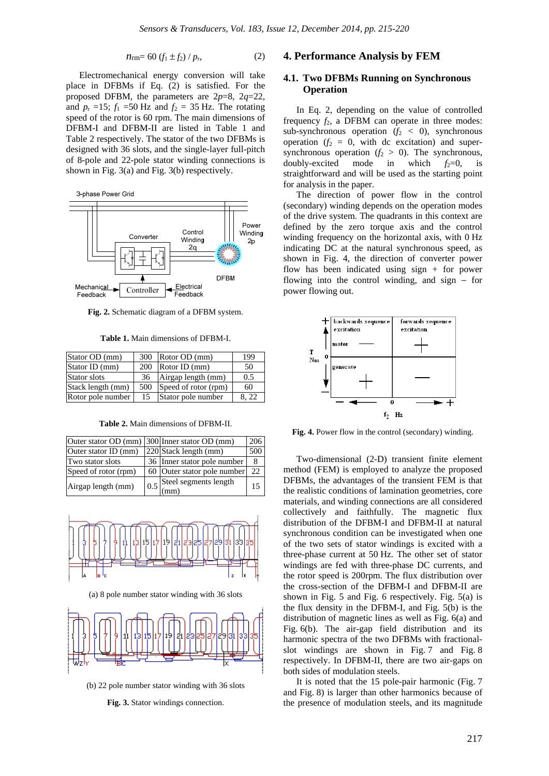$$
n_{\rm rm} = 60 \left( f_1 \pm f_2 \right) / p_{\rm r}, \tag{2}
$$

Electromechanical energy conversion will take place in DFBMs if Eq. (2) is satisfied. For the proposed DFBM, the parameters are 2*p*=8, 2*q*=22, and  $p_r = 15$ ;  $f_1 = 50$  Hz and  $f_2 = 35$  Hz. The rotating speed of the rotor is 60 rpm. The main dimensions of DFBM-I and DFBM-II are listed in Table 1 and Table 2 respectively. The stator of the two DFBMs is designed with 36 slots, and the single-layer full-pitch of 8-pole and 22-pole stator winding connections is shown in Fig. 3(a) and Fig. 3(b) respectively.





**Fig. 2.** Schematic diagram of a DFBM system.

**Table 1.** Main dimensions of DFBM-I.

| Stator OD (mm)    | 300 | Rotor OD (mm)        | 199  |
|-------------------|-----|----------------------|------|
| Stator ID (mm)    | 200 | Rotor ID (mm)        | 50   |
| Stator slots      | 36  | Airgap length (mm)   | 0.5  |
| Stack length (mm) | 500 | Speed of rotor (rpm) | 60   |
| Rotor pole number | 15  | Stator pole number   | 4.22 |

**Table 2.** Main dimensions of DFBM-II.

| Outer stator OD (mm) 300 Inner stator OD (mm) |                                                                      | 206 |
|-----------------------------------------------|----------------------------------------------------------------------|-----|
| Outer stator ID (mm)                          | 220 Stack length (mm)                                                | 500 |
| Two stator slots                              | 36 Inner stator pole number                                          | 8   |
| Speed of rotor (rpm)                          | 60 Outer stator pole number                                          | 22  |
| Airgap length (mm)                            | Steel segments length<br>$\left[0.5\right]_{\text{(mm)}}^{\text{S}}$ | 15  |



(a) 8 pole number stator winding with 36 slots



(b) 22 pole number stator winding with 36 slots

**Fig. 3.** Stator windings connection.

#### **4. Performance Analysis by FEM**

#### **4.1. Two DFBMs Running on Synchronous Operation**

In Eq. 2, depending on the value of controlled frequency  $f_2$ , a DFBM can operate in three modes: sub-synchronous operation  $(f_2 < 0)$ , synchronous operation  $(f_2 = 0$ , with dc excitation) and supersynchronous operation  $(f_2 > 0)$ . The synchronous, doubly-excited mode in which  $f_2=0$ , is straightforward and will be used as the starting point for analysis in the paper.

The direction of power flow in the control (secondary) winding depends on the operation modes of the drive system. The quadrants in this context are defined by the zero torque axis and the control winding frequency on the horizontal axis, with 0 Hz indicating DC at the natural synchronous speed, as shown in Fig. 4, the direction of converter power flow has been indicated using sign + for power flowing into the control winding, and sign − for power flowing out.



**Fig. 4.** Power flow in the control (secondary) winding.

Two-dimensional (2-D) transient finite element method (FEM) is employed to analyze the proposed DFBMs, the advantages of the transient FEM is that the realistic conditions of lamination geometries, core materials, and winding connections are all considered collectively and faithfully. The magnetic flux distribution of the DFBM-I and DFBM-II at natural synchronous condition can be investigated when one of the two sets of stator windings is excited with a three-phase current at 50 Hz. The other set of stator windings are fed with three-phase DC currents, and the rotor speed is 200rpm. The flux distribution over the cross-section of the DFBM-I and DFBM-II are shown in Fig. 5 and Fig. 6 respectively. Fig. 5(a) is the flux density in the DFBM-I, and Fig. 5(b) is the distribution of magnetic lines as well as Fig. 6(a) and Fig. 6(b). The air-gap field distribution and its harmonic spectra of the two DFBMs with fractionalslot windings are shown in Fig. 7 and Fig. 8 respectively. In DFBM-II, there are two air-gaps on both sides of modulation steels.

It is noted that the 15 pole-pair harmonic (Fig. 7 and Fig. 8) is larger than other harmonics because of the presence of modulation steels, and its magnitude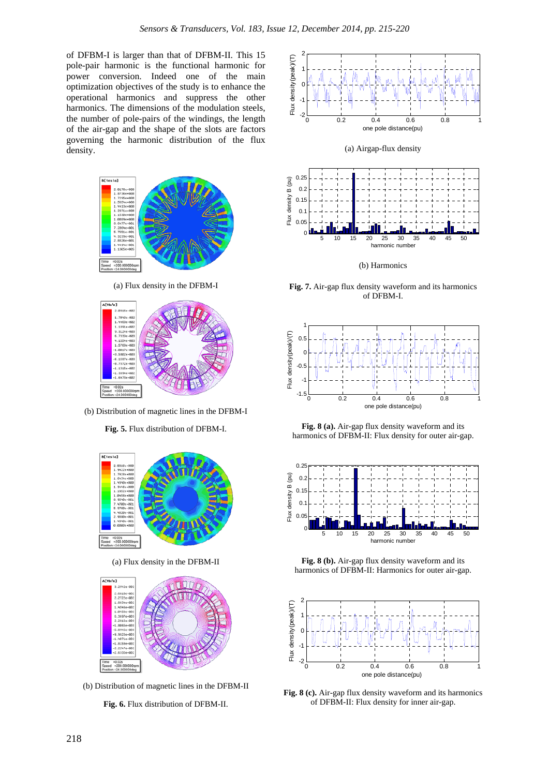of DFBM-I is larger than that of DFBM-II. This 15 pole-pair harmonic is the functional harmonic for power conversion. Indeed one of the main optimization objectives of the study is to enhance the operational harmonics and suppress the other harmonics. The dimensions of the modulation steels, the number of pole-pairs of the windings, the length of the air-gap and the shape of the slots are factors governing the harmonic distribution of the flux density.



(a) Flux density in the DFBM-I



(b) Distribution of magnetic lines in the DFBM-I

**Fig. 5.** Flux distribution of DFBM-I.



(a) Flux density in the DFBM-II



(b) Distribution of magnetic lines in the DFBM-II

**Fig. 6.** Flux distribution of DFBM-II.





(a) Airgap-flux density

(b) Harmonics

**Fig. 7.** Air-gap flux density waveform and its harmonics of DFBM-I.



**Fig. 8 (a).** Air-gap flux density waveform and its harmonics of DFBM-II: Flux density for outer air-gap.



**Fig. 8 (b).** Air-gap flux density waveform and its harmonics of DFBM-II: Harmonics for outer air-gap.



**Fig. 8 (c).** Air-gap flux density waveform and its harmonics of DFBM-II: Flux density for inner air-gap.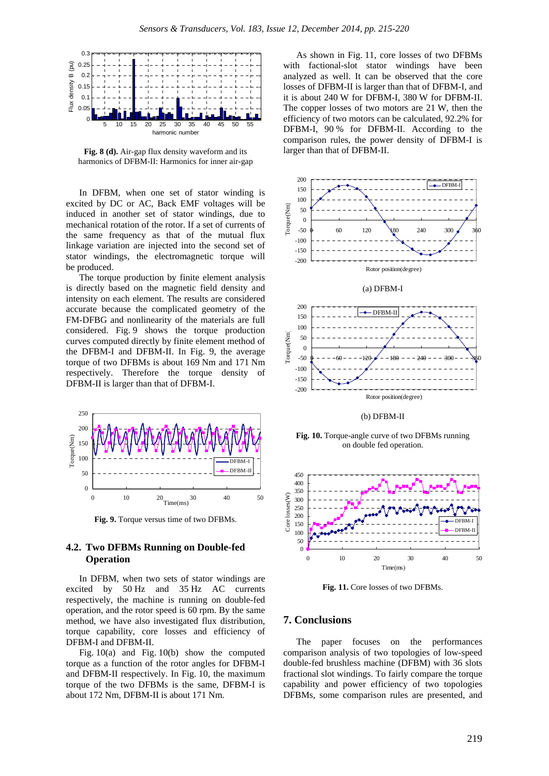

**Fig. 8 (d).** Air-gap flux density waveform and its harmonics of DFBM-II: Harmonics for inner air-gap

In DFBM, when one set of stator winding is excited by DC or AC, Back EMF voltages will be induced in another set of stator windings, due to mechanical rotation of the rotor. If a set of currents of the same frequency as that of the mutual flux linkage variation are injected into the second set of stator windings, the electromagnetic torque will be produced.

The torque production by finite element analysis is directly based on the magnetic field density and intensity on each element. The results are considered accurate because the complicated geometry of the FM-DFBG and nonlinearity of the materials are full considered. Fig. 9 shows the torque production curves computed directly by finite element method of the DFBM-I and DFBM-II. In Fig. 9, the average torque of two DFBMs is about 169 Nm and 171 Nm respectively. Therefore the torque density of DFBM-II is larger than that of DFBM-I.



**Fig. 9.** Torque versus time of two DFBMs.

### **4.2. Two DFBMs Running on Double-fed Operation**

In DFBM, when two sets of stator windings are excited by 50 Hz and 35 Hz AC currents respectively, the machine is running on double-fed operation, and the rotor speed is 60 rpm. By the same method, we have also investigated flux distribution, torque capability, core losses and efficiency of DFBM-I and DFBM-II.

Fig. 10(a) and Fig. 10(b) show the computed torque as a function of the rotor angles for DFBM-I and DFBM-II respectively. In Fig. 10, the maximum torque of the two DFBMs is the same, DFBM-I is about 172 Nm, DFBM-II is about 171 Nm.

As shown in Fig. 11, core losses of two DFBMs with factional-slot stator windings have been analyzed as well. It can be observed that the core losses of DFBM-II is larger than that of DFBM-I, and it is about 240 W for DFBM-I, 380 W for DFBM-II. The copper losses of two motors are 21 W, then the efficiency of two motors can be calculated, 92.2% for DFBM-I, 90 % for DFBM-II. According to the comparison rules, the power density of DFBM-I is larger than that of DFBM-II.



(b) DFBM-II

**Fig. 10.** Torque-angle curve of two DFBMs running on double fed operation.



**Fig. 11.** Core losses of two DFBMs.

## **7. Conclusions**

The paper focuses on the performances comparison analysis of two topologies of low-speed double-fed brushless machine (DFBM) with 36 slots fractional slot windings. To fairly compare the torque capability and power efficiency of two topologies DFBMs, some comparison rules are presented, and